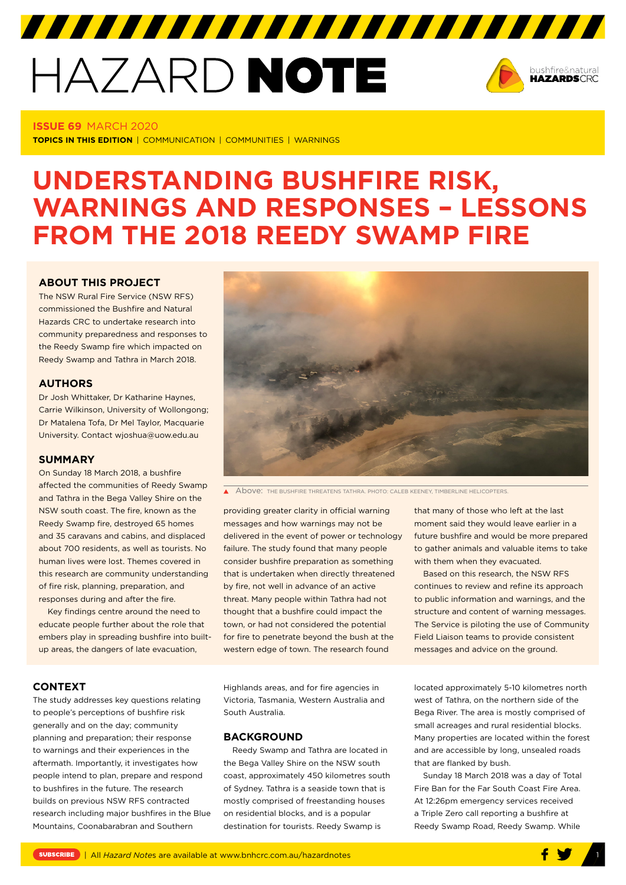# HAZARD NOTE



#### **ISSUE 69** MARCH 2020

**TOPICS IN THIS EDITION** | COMMUNICATION | COMMUNITIES | WARNINGS

# **UNDERSTANDING BUSHFIRE RISK, WARNINGS AND RESPONSES – LESSONS FROM THE 2018 REEDY SWAMP FIRE**

# **[ABOUT THIS PROJECT](9http://www.bnhcrc.com.au/hazardnotes/69)**

The NSW Rural Fire Service (NSW RFS) commissioned the Bushfire and Natural Hazards CRC to undertake research into community preparedness and responses to the Reedy Swamp fire which impacted on Reedy Swamp and Tathra in March 2018.

# **AUTHORS**

Dr Josh Whittaker, Dr Katharine Haynes, Carrie Wilkinson, University of Wollongong; Dr Matalena Tofa, Dr Mel Taylor, Macquarie University. Contact wjoshua@uow.edu.au

#### **SUMMARY**

On Sunday 18 March 2018, a bushfire affected the communities of Reedy Swamp and Tathra in the Bega Valley Shire on the NSW south coast. The fire, known as the Reedy Swamp fire, destroyed 65 homes and 35 caravans and cabins, and displaced about 700 residents, as well as tourists. No human lives were lost. Themes covered in this research are community understanding of fire risk, planning, preparation, and responses during and after the fire.

Key findings centre around the need to educate people further about the role that embers play in spreading bushfire into builtup areas, the dangers of late evacuation,



A Above: THE BUSHFIRE THREATENS TATHRA. PHOTO: CALEB KEENEY, TIMBERLINE HELICOPTERS.

providing greater clarity in official warning messages and how warnings may not be delivered in the event of power or technology failure. The study found that many people consider bushfire preparation as something that is undertaken when directly threatened by fire, not well in advance of an active threat. Many people within Tathra had not thought that a bushfire could impact the town, or had not considered the potential for fire to penetrate beyond the bush at the western edge of town. The research found

that many of those who left at the last moment said they would leave earlier in a future bushfire and would be more prepared to gather animals and valuable items to take with them when they evacuated.

Based on this research, the NSW RFS continues to review and refine its approach to public information and warnings, and the structure and content of warning messages. The Service is piloting the use of Community Field Liaison teams to provide consistent messages and advice on the ground.

#### **CONTEXT**

The study addresses key questions relating to people's perceptions of bushfire risk generally and on the day; community planning and preparation; their response to warnings and their experiences in the aftermath. Importantly, it investigates how people intend to plan, prepare and respond to bushfires in the future. The research builds on previous NSW RFS contracted research including major bushfires in the Blue Mountains, Coonabarabran and Southern

Highlands areas, and for fire agencies in Victoria, Tasmania, Western Australia and South Australia.

#### **BACKGROUND**

Reedy Swamp and Tathra are located in the Bega Valley Shire on the NSW south coast, approximately 450 kilometres south of Sydney. Tathra is a seaside town that is mostly comprised of freestanding houses on residential blocks, and is a popular destination for tourists. Reedy Swamp is

located approximately 5-10 kilometres north west of Tathra, on the northern side of the Bega River. The area is mostly comprised of small acreages and rural residential blocks. Many properties are located within the forest and are accessible by long, unsealed roads that are flanked by bush.

Sunday 18 March 2018 was a day of Total Fire Ban for the Far South Coast Fire Area. At 12:26pm emergency services received a Triple Zero call reporting a bushfire at Reedy Swamp Road, Reedy Swamp. While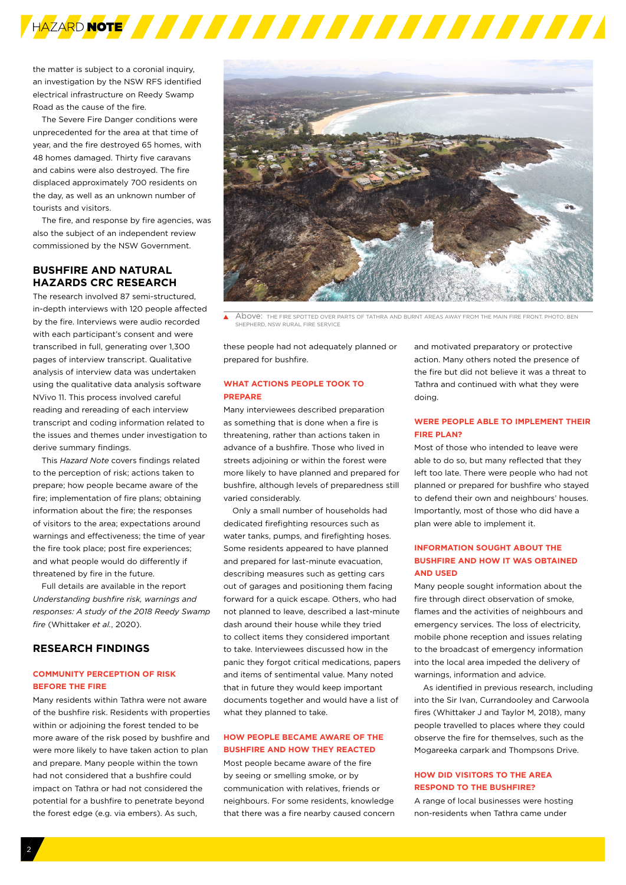

the matter is subject to a coronial inquiry, an investigation by the NSW RFS identified electrical infrastructure on Reedy Swamp Road as the cause of the fire.

The Severe Fire Danger conditions were unprecedented for the area at that time of year, and the fire destroyed 65 homes, with 48 homes damaged. Thirty five caravans and cabins were also destroyed. The fire displaced approximately 700 residents on the day, as well as an unknown number of tourists and visitors.

The fire, and response by fire agencies, was also the subject of an independent review commissioned by the NSW Government.

# **BUSHFIRE AND NATURAL HAZARDS CRC RESEARCH**

The research involved 87 semi-structured, in-depth interviews with 120 people affected by the fire. Interviews were audio recorded with each participant's consent and were transcribed in full, generating over 1,300 pages of interview transcript. Qualitative analysis of interview data was undertaken using the qualitative data analysis software NVivo 11. This process involved careful reading and rereading of each interview transcript and coding information related to the issues and themes under investigation to derive summary findings.

This *Hazard Note* covers findings related to the perception of risk; actions taken to prepare; how people became aware of the fire; implementation of fire plans; obtaining information about the fire; the responses of visitors to the area; expectations around warnings and effectiveness; the time of year the fire took place; post fire experiences; and what people would do differently if threatened by fire in the future.

Full details are available in the report *Understanding bushfire risk, warnings and responses: A study of the 2018 Reedy Swamp fire* (Whittaker *et al.*, 2020).

# **RESEARCH FINDINGS**

# **COMMUNITY PERCEPTION OF RISK BEFORE THE FIRE**

Many residents within Tathra were not aware of the bushfire risk. Residents with properties within or adjoining the forest tended to be more aware of the risk posed by bushfire and were more likely to have taken action to plan and prepare. Many people within the town had not considered that a bushfire could impact on Tathra or had not considered the potential for a bushfire to penetrate beyond the forest edge (e.g. via embers). As such,



A Above: THE FIRE SPOTTED OVER PARTS OF TATHRA AND BURNT AREAS AWAY FROM THE MAIN FIRE FRONT. PHOTO: BEN SHEPHERD, NSW RURAL FIRE SERVICE

these people had not adequately planned or prepared for bushfire.

# **WHAT ACTIONS PEOPLE TOOK TO PREPARE**

Many interviewees described preparation as something that is done when a fire is threatening, rather than actions taken in advance of a bushfire. Those who lived in streets adjoining or within the forest were more likely to have planned and prepared for bushfire, although levels of preparedness still varied considerably.

Only a small number of households had dedicated firefighting resources such as water tanks, pumps, and firefighting hoses. Some residents appeared to have planned and prepared for last-minute evacuation, describing measures such as getting cars out of garages and positioning them facing forward for a quick escape. Others, who had not planned to leave, described a last-minute dash around their house while they tried to collect items they considered important to take. Interviewees discussed how in the panic they forgot critical medications, papers and items of sentimental value. Many noted that in future they would keep important documents together and would have a list of what they planned to take.

# **HOW PEOPLE BECAME AWARE OF THE BUSHFIRE AND HOW THEY REACTED**

Most people became aware of the fire by seeing or smelling smoke, or by communication with relatives, friends or neighbours. For some residents, knowledge that there was a fire nearby caused concern and motivated preparatory or protective action. Many others noted the presence of the fire but did not believe it was a threat to Tathra and continued with what they were doing.

# **WERE PEOPLE ABLE TO IMPLEMENT THEIR FIRE PLAN?**

Most of those who intended to leave were able to do so, but many reflected that they left too late. There were people who had not planned or prepared for bushfire who stayed to defend their own and neighbours' houses. Importantly, most of those who did have a plan were able to implement it.

# **INFORMATION SOUGHT ABOUT THE BUSHFIRE AND HOW IT WAS OBTAINED AND USED**

Many people sought information about the fire through direct observation of smoke, flames and the activities of neighbours and emergency services. The loss of electricity, mobile phone reception and issues relating to the broadcast of emergency information into the local area impeded the delivery of warnings, information and advice.

As identified in previous research, including into the Sir Ivan, Currandooley and Carwoola fires (Whittaker J and Taylor M, 2018), many people travelled to places where they could observe the fire for themselves, such as the Mogareeka carpark and Thompsons Drive.

# **HOW DID VISITORS TO THE AREA RESPOND TO THE BUSHFIRE?**

A range of local businesses were hosting non-residents when Tathra came under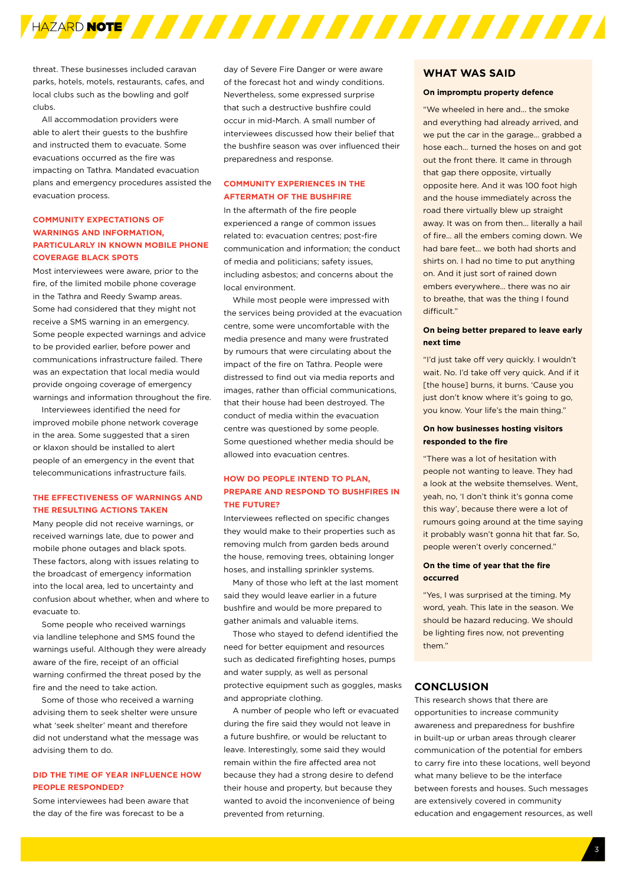

threat. These businesses included caravan parks, hotels, motels, restaurants, cafes, and local clubs such as the bowling and golf clubs.

All accommodation providers were able to alert their guests to the bushfire and instructed them to evacuate. Some evacuations occurred as the fire was impacting on Tathra. Mandated evacuation plans and emergency procedures assisted the evacuation process.

# **COMMUNITY EXPECTATIONS OF WARNINGS AND INFORMATION, PARTICULARLY IN KNOWN MOBILE PHONE COVERAGE BLACK SPOTS**

Most interviewees were aware, prior to the fire, of the limited mobile phone coverage in the Tathra and Reedy Swamp areas. Some had considered that they might not receive a SMS warning in an emergency. Some people expected warnings and advice to be provided earlier, before power and communications infrastructure failed. There was an expectation that local media would provide ongoing coverage of emergency warnings and information throughout the fire.

Interviewees identified the need for improved mobile phone network coverage in the area. Some suggested that a siren or klaxon should be installed to alert people of an emergency in the event that telecommunications infrastructure fails.

#### **THE EFFECTIVENESS OF WARNINGS AND THE RESULTING ACTIONS TAKEN**

Many people did not receive warnings, or received warnings late, due to power and mobile phone outages and black spots. These factors, along with issues relating to the broadcast of emergency information into the local area, led to uncertainty and confusion about whether, when and where to evacuate to.

Some people who received warnings via landline telephone and SMS found the warnings useful. Although they were already aware of the fire, receipt of an official warning confirmed the threat posed by the fire and the need to take action.

Some of those who received a warning advising them to seek shelter were unsure what 'seek shelter' meant and therefore did not understand what the message was advising them to do.

#### **DID THE TIME OF YEAR INFLUENCE HOW PEOPLE RESPONDED?**

Some interviewees had been aware that the day of the fire was forecast to be a

day of Severe Fire Danger or were aware of the forecast hot and windy conditions. Nevertheless, some expressed surprise that such a destructive bushfire could occur in mid-March. A small number of interviewees discussed how their belief that the bushfire season was over influenced their preparedness and response.

# **COMMUNITY EXPERIENCES IN THE AFTERMATH OF THE BUSHFIRE**

In the aftermath of the fire people experienced a range of common issues related to: evacuation centres; post-fire communication and information; the conduct of media and politicians; safety issues, including asbestos; and concerns about the local environment.

While most people were impressed with the services being provided at the evacuation centre, some were uncomfortable with the media presence and many were frustrated by rumours that were circulating about the impact of the fire on Tathra. People were distressed to find out via media reports and images, rather than official communications, that their house had been destroyed. The conduct of media within the evacuation centre was questioned by some people. Some questioned whether media should be allowed into evacuation centres.

# **HOW DO PEOPLE INTEND TO PLAN, PREPARE AND RESPOND TO BUSHFIRES IN THE FUTURE?**

Interviewees reflected on specific changes they would make to their properties such as removing mulch from garden beds around the house, removing trees, obtaining longer hoses, and installing sprinkler systems.

Many of those who left at the last moment said they would leave earlier in a future bushfire and would be more prepared to gather animals and valuable items.

Those who stayed to defend identified the need for better equipment and resources such as dedicated firefighting hoses, pumps and water supply, as well as personal protective equipment such as goggles, masks and appropriate clothing.

A number of people who left or evacuated during the fire said they would not leave in a future bushfire, or would be reluctant to leave. Interestingly, some said they would remain within the fire affected area not because they had a strong desire to defend their house and property, but because they wanted to avoid the inconvenience of being prevented from returning.

## **WHAT WAS SAID**

#### **On impromptu property defence**

"We wheeled in here and... the smoke and everything had already arrived, and we put the car in the garage… grabbed a hose each… turned the hoses on and got out the front there. It came in through that gap there opposite, virtually opposite here. And it was 100 foot high and the house immediately across the road there virtually blew up straight away. It was on from then... literally a hail of fire… all the embers coming down. We had bare feet... we both had shorts and shirts on. I had no time to put anything on. And it just sort of rained down embers everywhere… there was no air to breathe, that was the thing I found difficult."

### **On being better prepared to leave early next time**

"I'd just take off very quickly. I wouldn't wait. No. I'd take off very quick. And if it [the house] burns, it burns. 'Cause you just don't know where it's going to go, you know. Your life's the main thing."

# **On how businesses hosting visitors responded to the fire**

"There was a lot of hesitation with people not wanting to leave. They had a look at the website themselves. Went, yeah, no, 'I don't think it's gonna come this way', because there were a lot of rumours going around at the time saying it probably wasn't gonna hit that far. So, people weren't overly concerned."

#### **On the time of year that the fire occurred**

"Yes, I was surprised at the timing. My word, yeah. This late in the season. We should be hazard reducing. We should be lighting fires now, not preventing them."

# **CONCLUSION**

This research shows that there are opportunities to increase community awareness and preparedness for bushfire in built-up or urban areas through clearer communication of the potential for embers to carry fire into these locations, well beyond what many believe to be the interface between forests and houses. Such messages are extensively covered in community education and engagement resources, as well